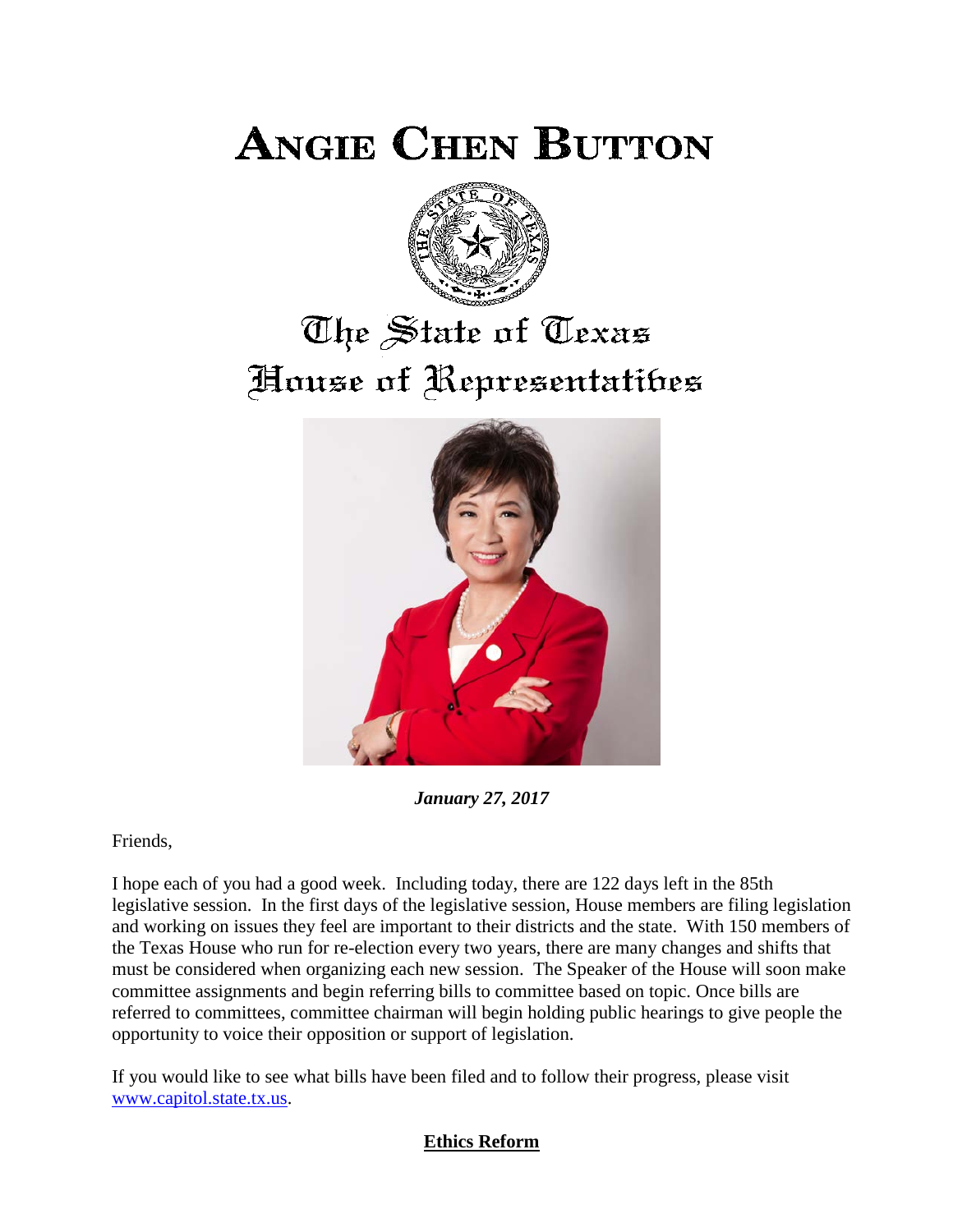**ANGIE CHEN BUTTON** 



## The State of Texas House of Representatibes



*January 27, 2017*

Friends,

I hope each of you had a good week. Including today, there are 122 days left in the 85th legislative session. In the first days of the legislative session, House members are filing legislation and working on issues they feel are important to their districts and the state. With 150 members of the Texas House who run for re-election every two years, there are many changes and shifts that must be considered when organizing each new session. The Speaker of the House will soon make committee assignments and begin referring bills to committee based on topic. Once bills are referred to committees, committee chairman will begin holding public hearings to give people the opportunity to voice their opposition or support of legislation.

If you would like to see what bills have been filed and to follow their progress, please visit [www.capitol.state.tx.us.](http://www.capitol.state.tx.us/)

## **Ethics Reform**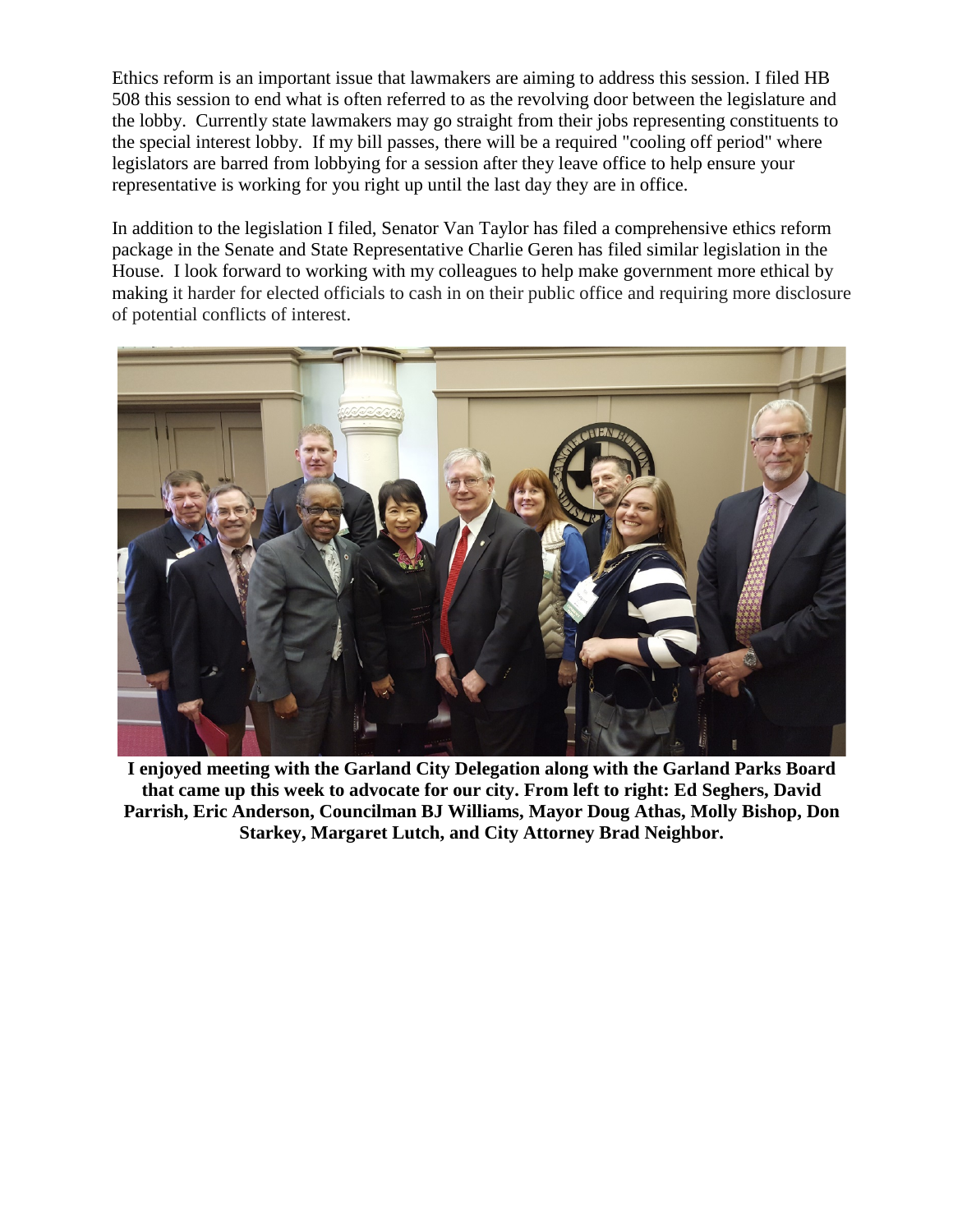Ethics reform is an important issue that lawmakers are aiming to address this session. I filed HB 508 this session to end what is often referred to as the revolving door between the legislature and the lobby. Currently state lawmakers may go straight from their jobs representing constituents to the special interest lobby. If my bill passes, there will be a required "cooling off period" where legislators are barred from lobbying for a session after they leave office to help ensure your representative is working for you right up until the last day they are in office.

In addition to the legislation I filed, Senator Van Taylor has filed a comprehensive ethics reform package in the Senate and State Representative Charlie Geren has filed similar legislation in the House. I look forward to working with my colleagues to help make government more ethical by making it harder for elected officials to cash in on their public office and requiring more disclosure of potential conflicts of interest.



**I enjoyed meeting with the Garland City Delegation along with the Garland Parks Board that came up this week to advocate for our city. From left to right: Ed Seghers, David Parrish, Eric Anderson, Councilman BJ Williams, Mayor Doug Athas, Molly Bishop, Don Starkey, Margaret Lutch, and City Attorney Brad Neighbor.**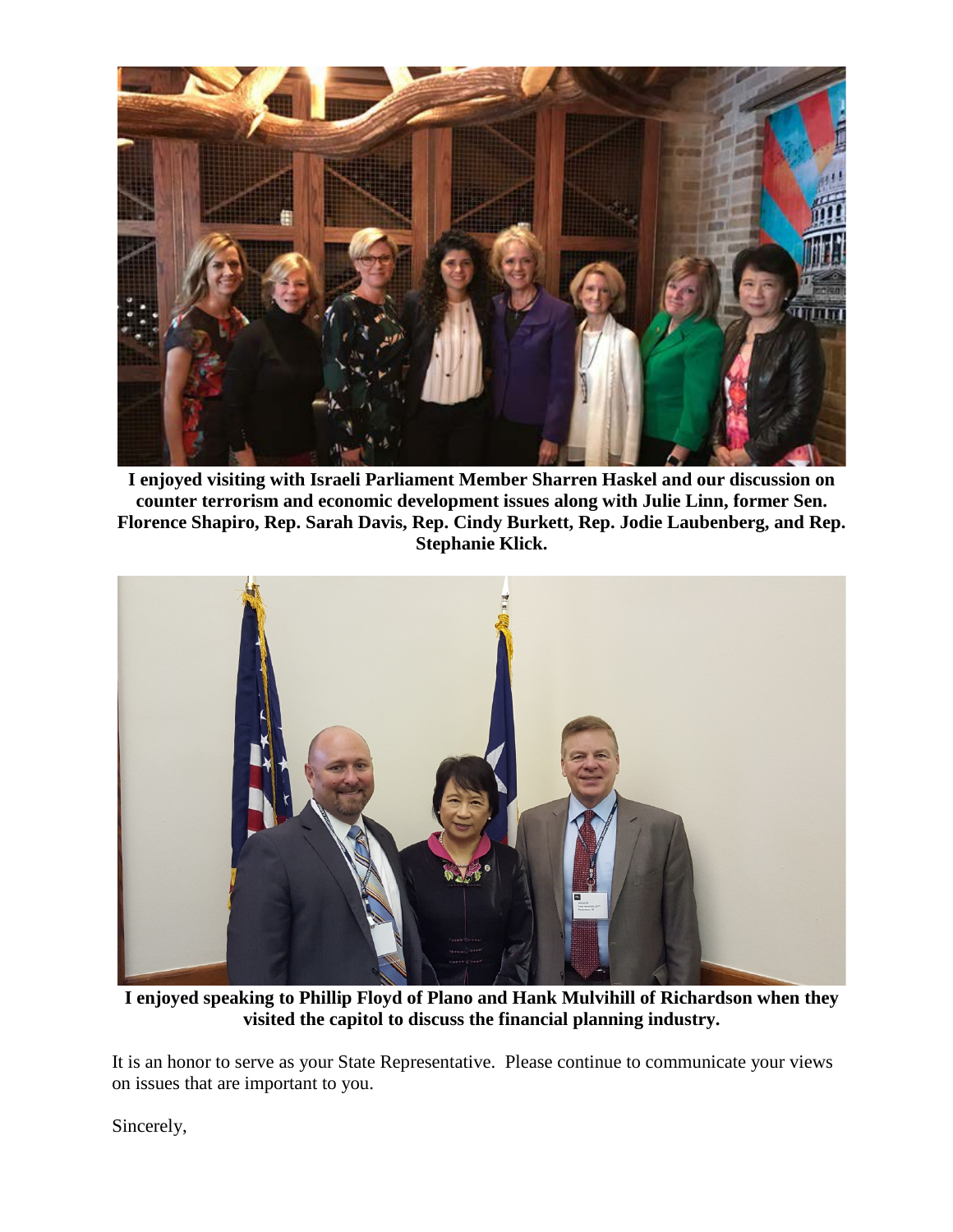

**I enjoyed visiting with Israeli Parliament Member Sharren Haskel and our discussion on counter terrorism and economic development issues along with Julie Linn, former Sen. Florence Shapiro, Rep. Sarah Davis, Rep. Cindy Burkett, Rep. Jodie Laubenberg, and Rep. Stephanie Klick.**



**I enjoyed speaking to Phillip Floyd of Plano and Hank Mulvihill of Richardson when they visited the capitol to discuss the financial planning industry.**

It is an honor to serve as your State Representative. Please continue to communicate your views on issues that are important to you.

Sincerely,